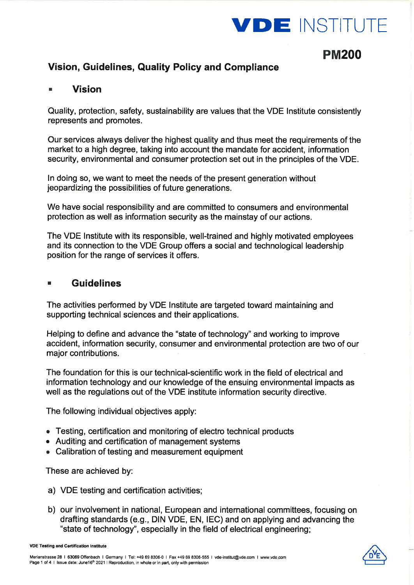

## PM2OO

## Vision, Guidelines, Quality Policy and Compliance

## Vision

Quality, protection, safety, sustainability are values that the VDE Institute consistently represents and promotes.

Our services always deliver the highest quality and thus meet the requirements of the market to a high degree, taking into account the mandate for accident, information security, environmental and consumer protection set out in the principles of the VDE.

ln doing so, we want to meet the needs of the present generation without jeopardizing the possibilities of future generations.

We have social responsibility and are committed to consumers and environmental protection as well as information security as the mainstay of our actions.

The VDE lnstitute with its responsible, well-trained and highly motivated employees and its connection to the VDE Group offers a social and technological leadership position for the range of services it offers.

### Guidelines

The activities performed by VDE Institute are targeted toward maintaining and supporting technical sciences and their applications.

Helping to define and advance the "state of technology" and working to improve accident, information security, consumer and environmental protection are two of our major contributions.

The foundation for this is our technical-scientific work in the field of electrical and information technology and our knowledge of the ensuing environmental impacts as well as the regulations out of the VDE institute information security directive.

The following individual objectives apply:

- o Testing, certification and monitoring of electro technical products
- Auditing and certification of management systems
- o Calibration of testing and measurement equipment

These are achieved by:

- a) VDE testing and certification activities;
- b) our involvement in national, European and international committees, focusing on drafting standards (e.9., DIN VDE, EN, IEC) and on applying and advancing the "state of technology", especially in the field of electrical engineering;

**VDE Testing and Certification Institute** 

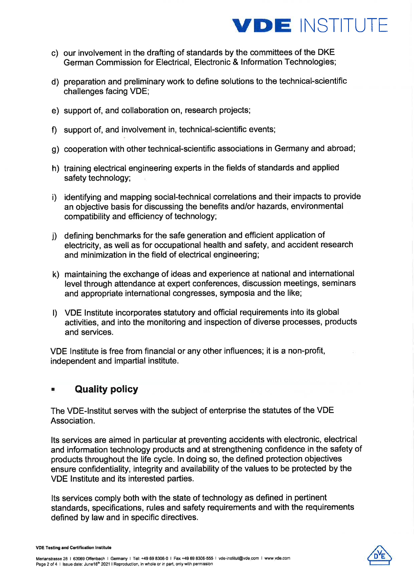# VDE INSTITUTE

- c) our involvement in the drafting of standards by the committees of the DKE German Commission for Electrical, Electronic & lnformation Technologies;
- d) preparation and preliminary work to define solutions to the technical-scientific challenges facing VDE;
- e) support of, and collaboration on, research projects;
- f) support of, and involvement in, technical-scientific events;
- g) cooperation with other technical-scientific associations in Germany and abroad;
- h) training electrical engineering experts in the fields of standards and applied safety technology;
- i) identifying and mapping social-technical correlations and their impacts to provide an objective basis for discussing the benefits and/or hazards, environmental compatibility and efficiency of technology;
- j) defining benchmarks for the safe generation and efficient application of electricity, as well as for occupational health and safety, and accident research and minimization in the field of electrical engineering;
- k) maintaining the exchange of ideas and experience at national and international level through attendance at expert conferences, discussion meetings, seminars and appropriate international congresses, symposia and the like;
- l) VDE Institute incorporates statutory and official requirements into its global activities, and into the monitoring and inspection of diverse processes, products and services.

VDE lnstitute is free from financial or any other influences; it is a non-profit, independent and impartial institute.

#### Quality policy ×

The VDE-lnstitut serves with the subject of enterprise the statutes of the VDE Association.

Its services are aimed in particular at preventing accidents with electronic, electrical and information technology products and at strengthening confidence in the safety of products throughout the life cycle. ln doing so, the defined protection objectives ensure confidentiality, integrity and availability of the values to be protected by the VDE lnstitute and its interested parties.

Its services comply both with the state of technology as defined in pertinent standards, specifications, rules and safety requirements and with the requirements defined by law and in specific directives.



**VDE Testing and Certification Institute**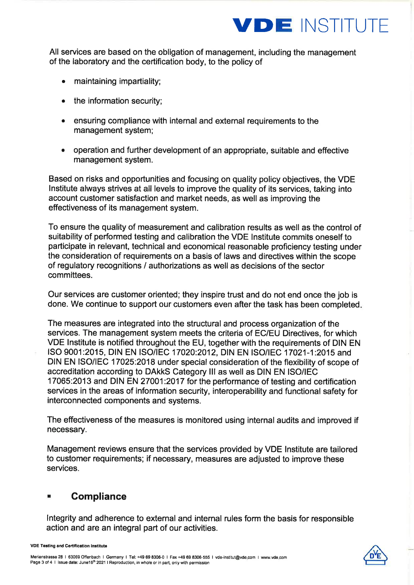

All services are based on the obligation of management, including the management of the laboratory and the certification body, to the policy of

- maintaining impartiality;
- the information security;
- ensuring compliance with internal and external requirements to the a management system;
- $\bullet$   $\;$  operation and further development of an appropriate, suitable and effective management system.

Based on risks and opportunities and focusing on quality policy objectives, the VDE lnstitute always strives at all levels to improve the quality of its services, taking into account customer satisfaction and market needs, as well as improving the effectiveness of its management system.

To ensure the quality of measurement and calibration results as well as the control of suitability of performed testing and calibration the VDE lnstitute commits oneself to participate in relevant, technical and economical reasonable proficiency testing under the consideration of requirements on a basis of laws and directives within the scope of regulatory recognitions / authorizations as well as decisions of the sector committees.

Our services are customer oriented; they inspire trust and do not end once the job is done. We continue to support our customers even after the task has been completed

The measures are integrated into the structural and process organization of the services. The management system meets the criteria of EC/EU Directives, for which VDE Institute is notified throughout the EU, together with the requirements of DIN EN ISO 9001 :2015, DIN EN ISO/IEC 17020:2012, DIN EN ISO/IEC 17021-1:2015 and DIN EN ISO/IEC 17025:2018 under special consideration of the flexibility of scope of accreditation according to DAkkS Category lll as well as DIN EN ISO/IEC 17065:2013 and DIN EN 27001',2017 for the performance of testing and certification services in the areas of information security, interoperability and functional safety for interconnected components and systems.

The effectiveness of the measures is monitored using internal audits and improved if necessary.

Management reviews ensure that the services provided by VDE Institute are tailored to customer requirements; if necessary, measures are adjusted to improve these services.

## **Compliance**

lntegrity and adherence to external and internal rules form the basis for responsible action and are an integral part of our activities.

VDE Testing and Certiflcation lnstituts